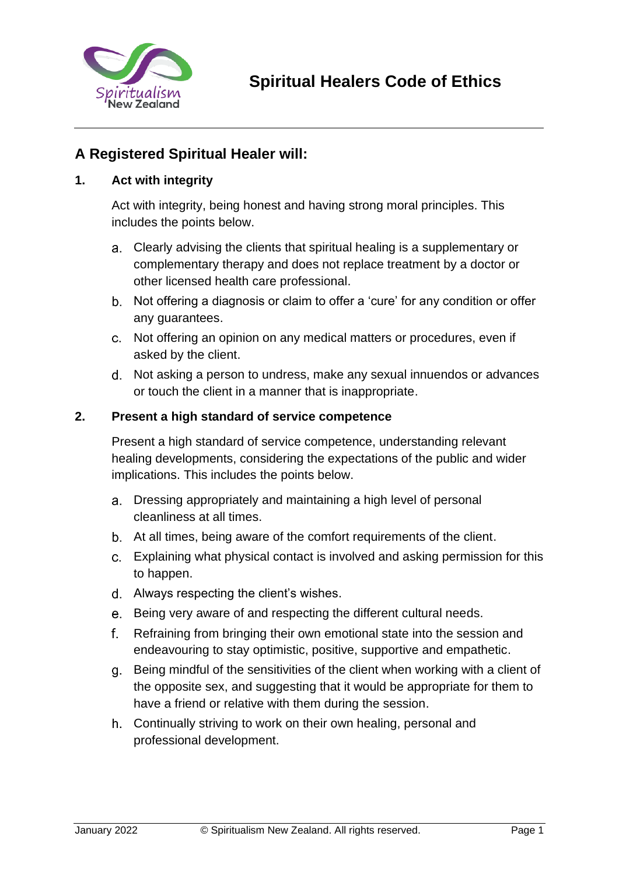

# **A Registered Spiritual Healer will:**

## **1. Act with integrity**

Act with integrity, being honest and having strong moral principles. This includes the points below.

- Clearly advising the clients that spiritual healing is a supplementary or complementary therapy and does not replace treatment by a doctor or other licensed health care professional.
- Not offering a diagnosis or claim to offer a 'cure' for any condition or offer any guarantees.
- Not offering an opinion on any medical matters or procedures, even if asked by the client.
- Not asking a person to undress, make any sexual innuendos or advances or touch the client in a manner that is inappropriate.

#### **2. Present a high standard of service competence**

Present a high standard of service competence, understanding relevant healing developments, considering the expectations of the public and wider implications. This includes the points below.

- Dressing appropriately and maintaining a high level of personal cleanliness at all times.
- At all times, being aware of the comfort requirements of the client.
- Explaining what physical contact is involved and asking permission for this to happen.
- Always respecting the client's wishes.
- e. Being very aware of and respecting the different cultural needs.
- Refraining from bringing their own emotional state into the session and endeavouring to stay optimistic, positive, supportive and empathetic.
- Being mindful of the sensitivities of the client when working with a client of the opposite sex, and suggesting that it would be appropriate for them to have a friend or relative with them during the session.
- Continually striving to work on their own healing, personal and professional development.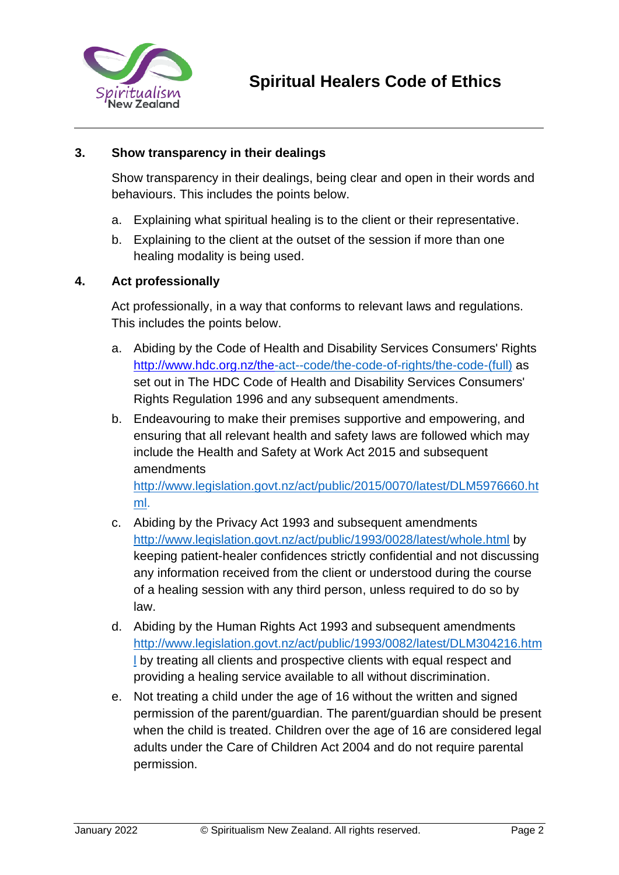

### **3. Show transparency in their dealings**

Show transparency in their dealings, being clear and open in their words and behaviours. This includes the points below.

- a. Explaining what spiritual healing is to the client or their representative.
- b. Explaining to the client at the outset of the session if more than one healing modality is being used.

#### **4. Act professionally**

Act professionally, in a way that conforms to relevant laws and regulations. This includes the points below.

- a. Abiding by the Code of Health and Disability Services Consumers' Rights <http://www.hdc.org.nz/the>[-act--code/the-code-of-rights/the-code-\(full\)](http://www.hdc.org.nz/the-act--code/the-code-of-rights/the-code-(full)) as set out in The HDC Code of Health and Disability Services Consumers' Rights Regulation 1996 and any subsequent amendments.
- b. Endeavouring to make their premises supportive and empowering, and ensuring that all relevant health and safety laws are followed which may include the Health and Safety at Work Act 2015 and subsequent amendments

http://www.legislation.govt.nz/act/public/2015/0070/latest/DLM5976660.[ht](http://www.legislation.govt.nz/act/public/2015/0070/latest/DLM5976660.html) [ml.](http://www.legislation.govt.nz/act/public/2015/0070/latest/DLM5976660.html)

- c. Abiding by the Privacy Act 1993 and subsequent amendments <http://www.legislation.govt.nz/act/public/1993/0028/latest/whole.html> [b](http://www.legislation.govt.nz/act/public/1993/0028/latest/whole.html)y keeping patient-healer confidences strictly confidential and not discussing any information received from the client or understood during the course of a healing session with any third person, unless required to do so by law.
- d. Abiding by the Human Rights Act 1993 and subsequent amendments [http://www.legislation.govt.nz/act/public/1993/0082/latest/DLM304216.htm](http://www.legislation.govt.nz/act/public/1993/0082/latest/DLM304216.html) [l](http://www.legislation.govt.nz/act/public/1993/0082/latest/DLM304216.html) by treating all clients and prospective clients with equal respect and providing a healing service available to all without discrimination.
- e. Not treating a child under the age of 16 without the written and signed permission of the parent/guardian. The parent/guardian should be present when the child is treated. Children over the age of 16 are considered legal adults under the Care of Children Act 2004 and do not require parental permission.